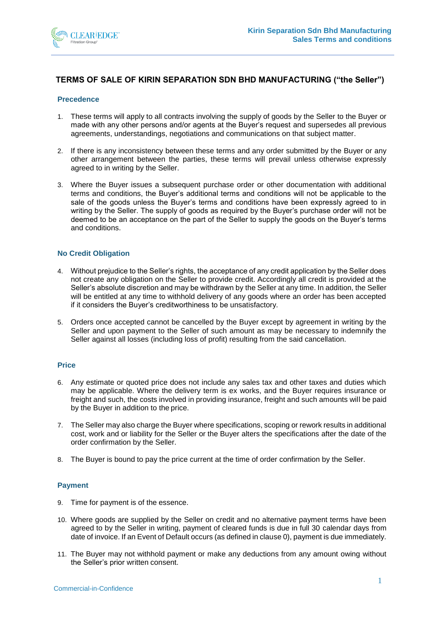

# **TERMS OF SALE OF KIRIN SEPARATION SDN BHD MANUFACTURING ("the Seller")**

### **Precedence**

- 1. These terms will apply to all contracts involving the supply of goods by the Seller to the Buyer or made with any other persons and/or agents at the Buyer's request and supersedes all previous agreements, understandings, negotiations and communications on that subject matter.
- 2. If there is any inconsistency between these terms and any order submitted by the Buyer or any other arrangement between the parties, these terms will prevail unless otherwise expressly agreed to in writing by the Seller.
- 3. Where the Buyer issues a subsequent purchase order or other documentation with additional terms and conditions, the Buyer's additional terms and conditions will not be applicable to the sale of the goods unless the Buyer's terms and conditions have been expressly agreed to in writing by the Seller. The supply of goods as required by the Buyer's purchase order will not be deemed to be an acceptance on the part of the Seller to supply the goods on the Buyer's terms and conditions.

## **No Credit Obligation**

- 4. Without prejudice to the Seller's rights, the acceptance of any credit application by the Seller does not create any obligation on the Seller to provide credit. Accordingly all credit is provided at the Seller's absolute discretion and may be withdrawn by the Seller at any time. In addition, the Seller will be entitled at any time to withhold delivery of any goods where an order has been accepted if it considers the Buyer's creditworthiness to be unsatisfactory.
- 5. Orders once accepted cannot be cancelled by the Buyer except by agreement in writing by the Seller and upon payment to the Seller of such amount as may be necessary to indemnify the Seller against all losses (including loss of profit) resulting from the said cancellation.

## **Price**

- 6. Any estimate or quoted price does not include any sales tax and other taxes and duties which may be applicable. Where the delivery term is ex works, and the Buyer requires insurance or freight and such, the costs involved in providing insurance, freight and such amounts will be paid by the Buyer in addition to the price.
- 7. The Seller may also charge the Buyer where specifications, scoping or rework results in additional cost, work and or liability for the Seller or the Buyer alters the specifications after the date of the order confirmation by the Seller.
- 8. The Buyer is bound to pay the price current at the time of order confirmation by the Seller.

# **Payment**

- 9. Time for payment is of the essence.
- 10. Where goods are supplied by the Seller on credit and no alternative payment terms have been agreed to by the Seller in writing, payment of cleared funds is due in full 30 calendar days from date of invoice. If an Event of Default occurs (as defined in claus[e 0\)](#page-3-0), payment is due immediately.
- 11. The Buyer may not withhold payment or make any deductions from any amount owing without the Seller's prior written consent.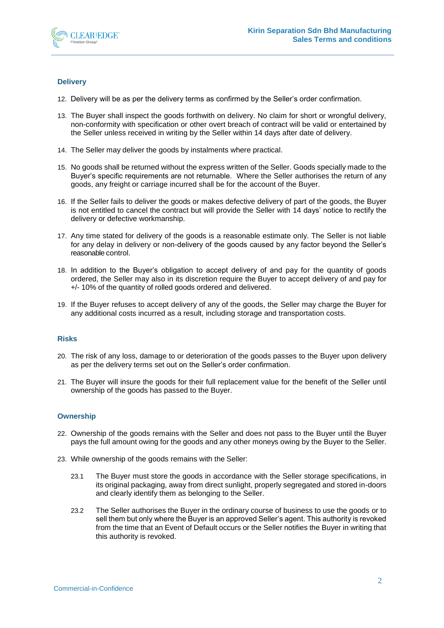

# **Delivery**

- 12. Delivery will be as per the delivery terms as confirmed by the Seller's order confirmation.
- 13. The Buyer shall inspect the goods forthwith on delivery. No claim for short or wrongful delivery, non-conformity with specification or other overt breach of contract will be valid or entertained by the Seller unless received in writing by the Seller within 14 days after date of delivery.
- 14. The Seller may deliver the goods by instalments where practical.
- 15. No goods shall be returned without the express written of the Seller. Goods specially made to the Buyer's specific requirements are not returnable. Where the Seller authorises the return of any goods, any freight or carriage incurred shall be for the account of the Buyer.
- 16. If the Seller fails to deliver the goods or makes defective delivery of part of the goods, the Buyer is not entitled to cancel the contract but will provide the Seller with 14 days' notice to rectify the delivery or defective workmanship.
- 17. Any time stated for delivery of the goods is a reasonable estimate only. The Seller is not liable for any delay in delivery or non-delivery of the goods caused by any factor beyond the Seller's reasonable control.
- 18. In addition to the Buyer's obligation to accept delivery of and pay for the quantity of goods ordered, the Seller may also in its discretion require the Buyer to accept delivery of and pay for +/- 10% of the quantity of rolled goods ordered and delivered.
- 19. If the Buyer refuses to accept delivery of any of the goods, the Seller may charge the Buyer for any additional costs incurred as a result, including storage and transportation costs.

# **Risks**

- 20. The risk of any loss, damage to or deterioration of the goods passes to the Buyer upon delivery as per the delivery terms set out on the Seller's order confirmation.
- 21. The Buyer will insure the goods for their full replacement value for the benefit of the Seller until ownership of the goods has passed to the Buyer.

#### **Ownership**

- 22. Ownership of the goods remains with the Seller and does not pass to the Buyer until the Buyer pays the full amount owing for the goods and any other moneys owing by the Buyer to the Seller.
- 23. While ownership of the goods remains with the Seller:
	- 23.1 The Buyer must store the goods in accordance with the Seller storage specifications, in its original packaging, away from direct sunlight, properly segregated and stored in-doors and clearly identify them as belonging to the Seller.
	- 23.2 The Seller authorises the Buyer in the ordinary course of business to use the goods or to sell them but only where the Buyer is an approved Seller's agent. This authority is revoked from the time that an Event of Default occurs or the Seller notifies the Buyer in writing that this authority is revoked.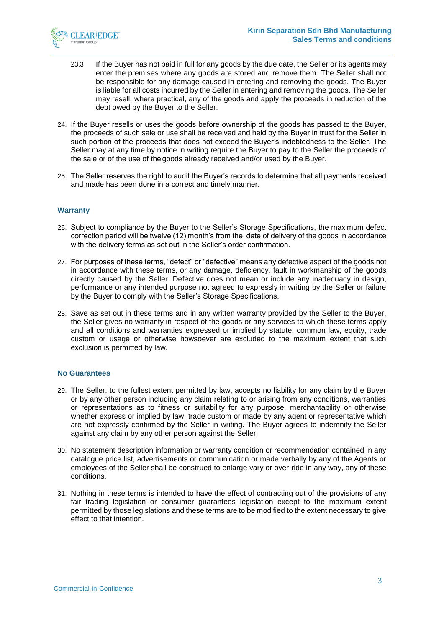

- 23.3 If the Buyer has not paid in full for any goods by the due date, the Seller or its agents may enter the premises where any goods are stored and remove them. The Seller shall not be responsible for any damage caused in entering and removing the goods. The Buyer is liable for all costs incurred by the Seller in entering and removing the goods. The Seller may resell, where practical, any of the goods and apply the proceeds in reduction of the debt owed by the Buyer to the Seller.
- 24. If the Buyer resells or uses the goods before ownership of the goods has passed to the Buyer, the proceeds of such sale or use shall be received and held by the Buyer in trust for the Seller in such portion of the proceeds that does not exceed the Buyer's indebtedness to the Seller. The Seller may at any time by notice in writing require the Buyer to pay to the Seller the proceeds of the sale or of the use of the goods already received and/or used by the Buyer.
- 25. The Seller reserves the right to audit the Buyer's records to determine that all payments received and made has been done in a correct and timely manner.

#### **Warranty**

- 26. Subject to compliance by the Buyer to the Seller's Storage Specifications, the maximum defect correction period will be twelve (12) month's from the date of delivery of the goods in accordance with the delivery terms as set out in the Seller's order confirmation.
- 27. For purposes of these terms, "defect" or "defective" means any defective aspect of the goods not in accordance with these terms, or any damage, deficiency, fault in workmanship of the goods directly caused by the Seller. Defective does not mean or include any inadequacy in design, performance or any intended purpose not agreed to expressly in writing by the Seller or failure by the Buyer to comply with the Seller's Storage Specifications.
- 28. Save as set out in these terms and in any written warranty provided by the Seller to the Buyer, the Seller gives no warranty in respect of the goods or any services to which these terms apply and all conditions and warranties expressed or implied by statute, common law, equity, trade custom or usage or otherwise howsoever are excluded to the maximum extent that such exclusion is permitted by law.

## **No Guarantees**

- 29. The Seller, to the fullest extent permitted by law, accepts no liability for any claim by the Buyer or by any other person including any claim relating to or arising from any conditions, warranties or representations as to fitness or suitability for any purpose, merchantability or otherwise whether express or implied by law, trade custom or made by any agent or representative which are not expressly confirmed by the Seller in writing. The Buyer agrees to indemnify the Seller against any claim by any other person against the Seller.
- 30. No statement description information or warranty condition or recommendation contained in any catalogue price list, advertisements or communication or made verbally by any of the Agents or employees of the Seller shall be construed to enlarge vary or over-ride in any way, any of these conditions.
- 31. Nothing in these terms is intended to have the effect of contracting out of the provisions of any fair trading legislation or consumer guarantees legislation except to the maximum extent permitted by those legislations and these terms are to be modified to the extent necessary to give effect to that intention.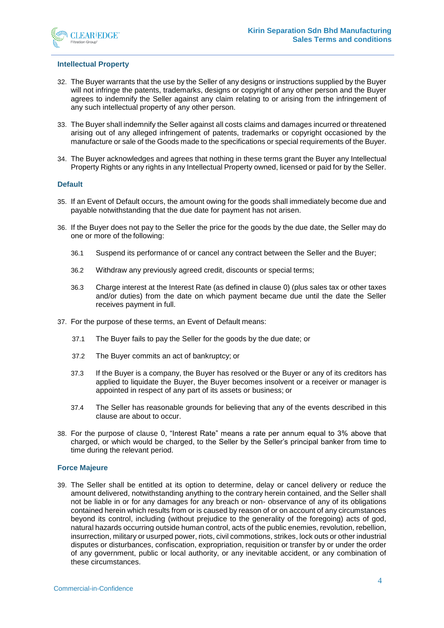

#### **Intellectual Property**

- 32. The Buyer warrants that the use by the Seller of any designs or instructions supplied by the Buyer will not infringe the patents, trademarks, designs or copyright of any other person and the Buyer agrees to indemnify the Seller against any claim relating to or arising from the infringement of any such intellectual property of any other person.
- 33. The Buyer shall indemnify the Seller against all costs claims and damages incurred or threatened arising out of any alleged infringement of patents, trademarks or copyright occasioned by the manufacture or sale of the Goods made to the specifications or special requirements of the Buyer.
- 34. The Buyer acknowledges and agrees that nothing in these terms grant the Buyer any Intellectual Property Rights or any rights in any Intellectual Property owned, licensed or paid for by the Seller.

## **Default**

- <span id="page-3-0"></span>35. If an Event of Default occurs, the amount owing for the goods shall immediately become due and payable notwithstanding that the due date for payment has not arisen.
- <span id="page-3-2"></span>36. If the Buyer does not pay to the Seller the price for the goods by the due date, the Seller may do one or more of the following:
	- 36.1 Suspend its performance of or cancel any contract between the Seller and the Buyer;
	- 36.2 Withdraw any previously agreed credit, discounts or special terms;
	- 36.3 Charge interest at the Interest Rate (as defined in clause [0\)](#page-3-1) (plus sales tax or other taxes and/or duties) from the date on which payment became due until the date the Seller receives payment in full.
- 37. For the purpose of these terms, an Event of Default means:
	- 37.1 The Buyer fails to pay the Seller for the goods by the due date; or
	- 37.2 The Buyer commits an act of bankruptcy; or
	- 37.3 If the Buyer is a company, the Buyer has resolved or the Buyer or any of its creditors has applied to liquidate the Buyer, the Buyer becomes insolvent or a receiver or manager is appointed in respect of any part of its assets or business; or
	- 37.4 The Seller has reasonable grounds for believing that any of the events described in this clause are about to occur.
- <span id="page-3-1"></span>38. For the purpose of clause [0,](#page-3-2) "Interest Rate" means a rate per annum equal to 3% above that charged, or which would be charged, to the Seller by the Seller's principal banker from time to time during the relevant period.

#### **Force Majeure**

39. The Seller shall be entitled at its option to determine, delay or cancel delivery or reduce the amount delivered, notwithstanding anything to the contrary herein contained, and the Seller shall not be liable in or for any damages for any breach or non- observance of any of its obligations contained herein which results from or is caused by reason of or on account of any circumstances beyond its control, including (without prejudice to the generality of the foregoing) acts of god, natural hazards occurring outside human control, acts of the public enemies, revolution, rebellion, insurrection, military or usurped power, riots, civil commotions, strikes, lock outs or other industrial disputes or disturbances, confiscation, expropriation, requisition or transfer by or under the order of any government, public or local authority, or any inevitable accident, or any combination of these circumstances.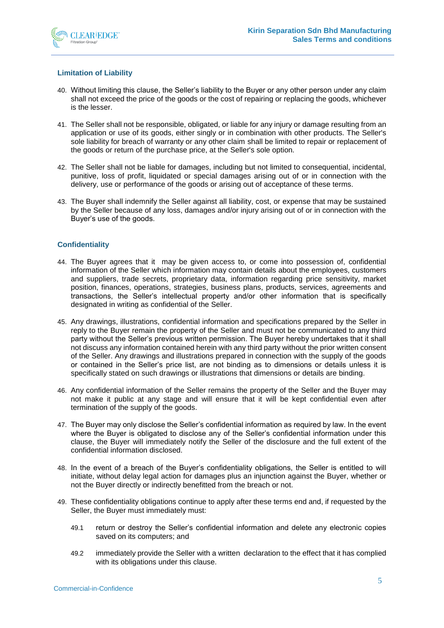

## **Limitation of Liability**

- 40. Without limiting this clause, the Seller's liability to the Buyer or any other person under any claim shall not exceed the price of the goods or the cost of repairing or replacing the goods, whichever is the lesser.
- 41. The Seller shall not be responsible, obligated, or liable for any injury or damage resulting from an application or use of its goods, either singly or in combination with other products. The Seller's sole liability for breach of warranty or any other claim shall be limited to repair or replacement of the goods or return of the purchase price, at the Seller's sole option.
- 42. The Seller shall not be liable for damages, including but not limited to consequential, incidental, punitive, loss of profit, liquidated or special damages arising out of or in connection with the delivery, use or performance of the goods or arising out of acceptance of these terms.
- 43. The Buyer shall indemnify the Seller against all liability, cost, or expense that may be sustained by the Seller because of any loss, damages and/or injury arising out of or in connection with the Buyer's use of the goods.

## **Confidentiality**

- 44. The Buyer agrees that it may be given access to, or come into possession of, confidential information of the Seller which information may contain details about the employees, customers and suppliers, trade secrets, proprietary data, information regarding price sensitivity, market position, finances, operations, strategies, business plans, products, services, agreements and transactions, the Seller's intellectual property and/or other information that is specifically designated in writing as confidential of the Seller.
- 45. Any drawings, illustrations, confidential information and specifications prepared by the Seller in reply to the Buyer remain the property of the Seller and must not be communicated to any third party without the Seller's previous written permission. The Buyer hereby undertakes that it shall not discuss any information contained herein with any third party without the prior written consent of the Seller. Any drawings and illustrations prepared in connection with the supply of the goods or contained in the Seller's price list, are not binding as to dimensions or details unless it is specifically stated on such drawings or illustrations that dimensions or details are binding.
- 46. Any confidential information of the Seller remains the property of the Seller and the Buyer may not make it public at any stage and will ensure that it will be kept confidential even after termination of the supply of the goods.
- 47. The Buyer may only disclose the Seller's confidential information as required by law. In the event where the Buyer is obligated to disclose any of the Seller's confidential information under this clause, the Buyer will immediately notify the Seller of the disclosure and the full extent of the confidential information disclosed.
- 48. In the event of a breach of the Buyer's confidentiality obligations, the Seller is entitled to will initiate, without delay legal action for damages plus an injunction against the Buyer, whether or not the Buyer directly or indirectly benefitted from the breach or not.
- 49. These confidentiality obligations continue to apply after these terms end and, if requested by the Seller, the Buyer must immediately must:
	- 49.1 return or destroy the Seller's confidential information and delete any electronic copies saved on its computers; and
	- 49.2 immediately provide the Seller with a written declaration to the effect that it has complied with its obligations under this clause.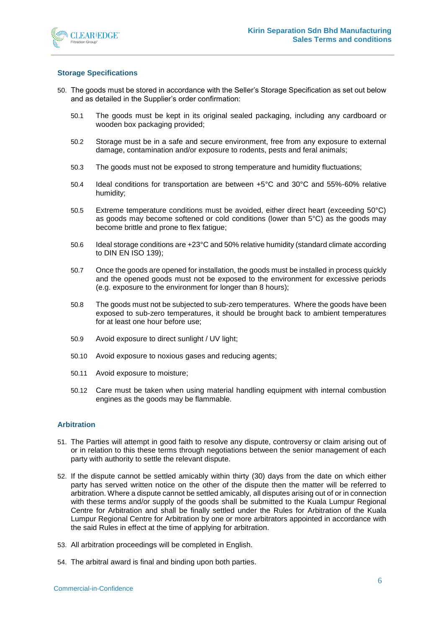

## **Storage Specifications**

- 50. The goods must be stored in accordance with the Seller's Storage Specification as set out below and as detailed in the Supplier's order confirmation:
	- 50.1 The goods must be kept in its original sealed packaging, including any cardboard or wooden box packaging provided;
	- 50.2 Storage must be in a safe and secure environment, free from any exposure to external damage, contamination and/or exposure to rodents, pests and feral animals;
	- 50.3 The goods must not be exposed to strong temperature and humidity fluctuations;
	- 50.4 Ideal conditions for transportation are between +5°C and 30°C and 55%-60% relative humidity;
	- 50.5 Extreme temperature conditions must be avoided, either direct heart (exceeding 50°C) as goods may become softened or cold conditions (lower than 5°C) as the goods may become brittle and prone to flex fatigue;
	- 50.6 Ideal storage conditions are +23°C and 50% relative humidity (standard climate according to DIN EN ISO 139);
	- 50.7 Once the goods are opened for installation, the goods must be installed in process quickly and the opened goods must not be exposed to the environment for excessive periods (e.g. exposure to the environment for longer than 8 hours);
	- 50.8 The goods must not be subjected to sub-zero temperatures. Where the goods have been exposed to sub-zero temperatures, it should be brought back to ambient temperatures for at least one hour before use;
	- 50.9 Avoid exposure to direct sunlight / UV light;
	- 50.10 Avoid exposure to noxious gases and reducing agents;
	- 50.11 Avoid exposure to moisture;
	- 50.12 Care must be taken when using material handling equipment with internal combustion engines as the goods may be flammable.

### **Arbitration**

- 51. The Parties will attempt in good faith to resolve any dispute, controversy or claim arising out of or in relation to this these terms through negotiations between the senior management of each party with authority to settle the relevant dispute.
- 52. If the dispute cannot be settled amicably within thirty (30) days from the date on which either party has served written notice on the other of the dispute then the matter will be referred to arbitration. Where a dispute cannot be settled amicably, all disputes arising out of or in connection with these terms and/or supply of the goods shall be submitted to the Kuala Lumpur Regional Centre for Arbitration and shall be finally settled under the Rules for Arbitration of the Kuala Lumpur Regional Centre for Arbitration by one or more arbitrators appointed in accordance with the said Rules in effect at the time of applying for arbitration.
- 53. All arbitration proceedings will be completed in English.
- 54. The arbitral award is final and binding upon both parties.